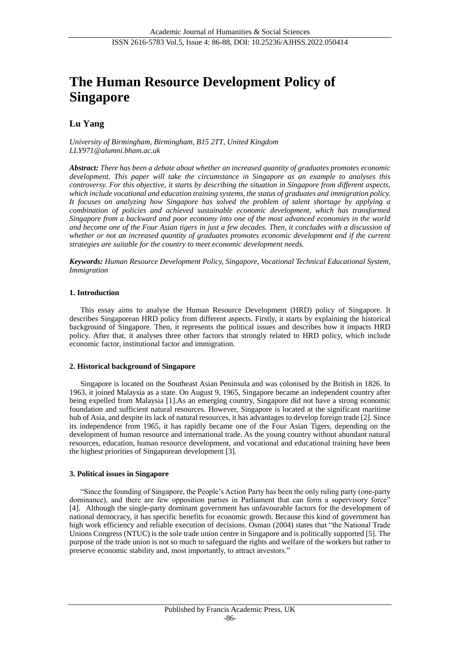# **The Human Resource Development Policy of Singapore**

## **Lu Yang**

*University of Birmingham, Birmingham, B15 2TT, United Kingdom [LLY971@alumni.bham.ac.uk](mailto:LLY971@alumni.bham.ac.uk)*

*Abstract: There has been a debate about whether an increased quantity of graduates promotes economic development. This paper will take the circumstance in Singapore as an example to analyses this controversy. For this objective, it starts by describing the situation in Singapore from different aspects, which include vocational and education training systems, the status of graduates and immigration policy. It focuses on analyzing how Singapore has solved the problem of talent shortage by applying a combination of policies and achieved sustainable economic development, which has transformed Singapore from a backward and poor economy into one of the most advanced economies in the world and become one of the Four Asian tigers in just a few decades. Then, it concludes with a discussion of whether or not an increased quantity of graduates promotes economic development and if the current strategies are suitable for the country to meet economic development needs.* 

*Keywords: Human Resource Development Policy, Singapore, Vocational Technical Educational System, Immigration*

## **1. Introduction**

This essay aims to analyse the Human Resource Development (HRD) policy of Singapore. It describes Singaporean HRD policy from different aspects. Firstly, it starts by explaining the historical background of Singapore. Then, it represents the political issues and describes how it impacts HRD policy. After that, it analyses three other factors that strongly related to HRD policy, which include economic factor, institutional factor and immigration.

## **2. Historical background of Singapore**

Singapore is located on the Southeast Asian Peninsula and was colonised by the British in 1826. In 1963, it joined Malaysia as a state. On August 9, 1965, Singapore became an independent country after being expelled from Malaysia [1].As an emerging country, Singapore did not have a strong economic foundation and sufficient natural resources. However, Singapore is located at the significant maritime hub of Asia, and despite its lack of natural resources, it has advantages to develop foreign trade [2]. Since its independence from 1965, it has rapidly became one of the Four Asian Tigers, depending on the development of human resource and international trade. As the young country without abundant natural resources, education, human resource development, and vocational and educational training have been the highest priorities of Singaporean development [3].

## **3. Political issues in Singapore**

"Since the founding of Singapore, the People's Action Party has been the only ruling party (one-party dominance), and there are few opposition parties in Parliament that can form a supervisory force" [4]. Although the single-party dominant government has unfavourable factors for the development of national democracy, it has specific benefits for economic growth. Because this kind of government has high work efficiency and reliable execution of decisions. Osman (2004) states that "the National Trade Unions Congress (NTUC) is the sole trade union centre in Singapore and is politically supported [5]. The purpose of the trade union is not so much to safeguard the rights and welfare of the workers but rather to preserve economic stability and, most importantly, to attract investors."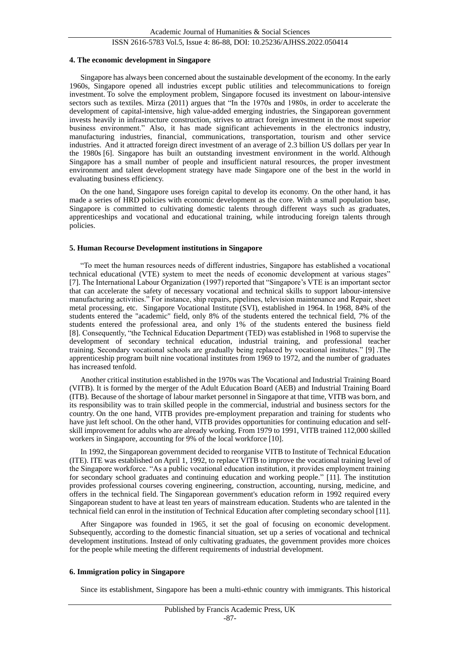### ISSN 2616-5783 Vol.5, Issue 4: 86-88, DOI: 10.25236/AJHSS.2022.050414

#### **4. The economic development in Singapore**

Singapore has always been concerned about the sustainable development of the economy. In the early 1960s, Singapore opened all industries except public utilities and telecommunications to foreign investment. To solve the employment problem, Singapore focused its investment on labour-intensive sectors such as textiles. Mirza (2011) argues that "In the 1970s and 1980s, in order to accelerate the development of capital-intensive, high value-added emerging industries, the Singaporean government invests heavily in infrastructure construction, strives to attract foreign investment in the most superior business environment." Also, it has made significant achievements in the electronics industry, manufacturing industries, financial, communications, transportation, tourism and other service industries. And it attracted foreign direct investment of an average of 2.3 billion US dollars per year In the 1980s [6]. Singapore has built an outstanding investment environment in the world. Although Singapore has a small number of people and insufficient natural resources, the proper investment environment and talent development strategy have made Singapore one of the best in the world in evaluating business efficiency.

On the one hand, Singapore uses foreign capital to develop its economy. On the other hand, it has made a series of HRD policies with economic development as the core. With a small population base, Singapore is committed to cultivating domestic talents through different ways such as graduates, apprenticeships and vocational and educational training, while introducing foreign talents through policies.

#### **5. Human Recourse Development institutions in Singapore**

"To meet the human resources needs of different industries, Singapore has established a vocational technical educational (VTE) system to meet the needs of economic development at various stages" [7]. The International Labour Organization (1997) reported that "Singapore's VTE is an important sector that can accelerate the safety of necessary vocational and technical skills to support labour-intensive manufacturing activities." For instance, ship repairs, pipelines, television maintenance and Repair, sheet metal processing, etc. Singapore Vocational Institute (SVI), established in 1964. In 1968, 84% of the students entered the "academic" field, only 8% of the students entered the technical field, 7% of the students entered the professional area, and only 1% of the students entered the business field [8]. Consequently, "the Technical Education Department (TED) was established in 1968 to supervise the development of secondary technical education, industrial training, and professional teacher training. Secondary vocational schools are gradually being replaced by vocational institutes." [9] .The apprenticeship program built nine vocational institutes from 1969 to 1972, and the number of graduates has increased tenfold.

Another critical institution established in the 1970s was The Vocational and Industrial Training Board (VITB). It is formed by the merger of the Adult Education Board (AEB) and Industrial Training Board (ITB). Because of the shortage of labour market personnel in Singapore at that time, VITB was born, and its responsibility was to train skilled people in the commercial, industrial and business sectors for the country. On the one hand, VITB provides pre-employment preparation and training for students who have just left school. On the other hand, VITB provides opportunities for continuing education and selfskill improvement for adults who are already working. From 1979 to 1991, VITB trained 112,000 skilled workers in Singapore, accounting for 9% of the local workforce [10].

In 1992, the Singaporean government decided to reorganise VITB to Institute of Technical Education (ITE). ITE was established on April 1, 1992, to replace VITB to improve the vocational training level of the Singapore workforce. "As a public vocational education institution, it provides employment training for secondary school graduates and continuing education and working people." [11]. The institution provides professional courses covering engineering, construction, accounting, nursing, medicine, and offers in the technical field. The Singaporean government's education reform in 1992 required every Singaporean student to have at least ten years of mainstream education. Students who are talented in the technical field can enrol in the institution of Technical Education after completing secondary school [11].

After Singapore was founded in 1965, it set the goal of focusing on economic development. Subsequently, according to the domestic financial situation, set up a series of vocational and technical development institutions. Instead of only cultivating graduates, the government provides more choices for the people while meeting the different requirements of industrial development.

#### **6. Immigration policy in Singapore**

Since its establishment, Singapore has been a multi-ethnic country with immigrants. This historical